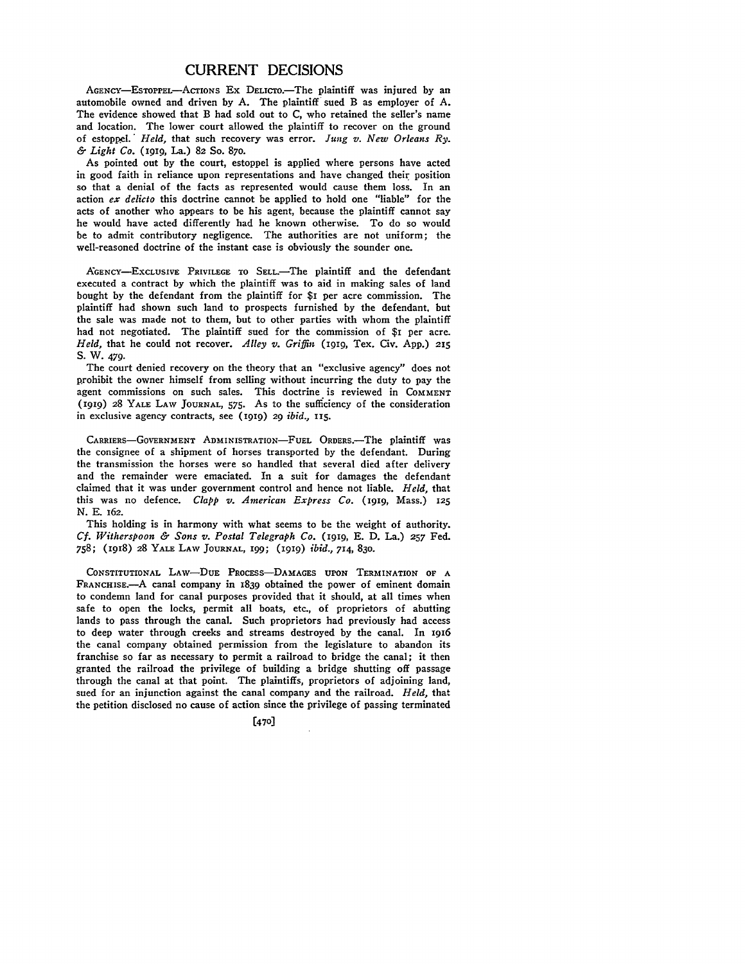## CURRENT **DECISIONS**

AGENCY-EsTOPPEL-ACTIONS Ex DELICTO.-The plaintiff was injured by an automobile owned and driven **by A.** The plaintiff sued B as employer of **A.** The evidence showed that B had sold out to C, who retained the seller's name and location. The lower court allowed the plaintiff to recover on the ground of estoppel.' *Held,* that such recovery was error. *Jung v. New Orleans Ry. & Light Co.* (igig, La.) 82 So. 870.

As pointed out by the court, estoppel is applied where persons have acted in good faith in reliance upon representations and have changed their position so that a denial of the facts as represented would cause them loss. In an action *ex delicto* this doctrine cannot be applied to hold one "liable" for the acts of another who appears to be his agent, because the plaintiff cannot say he would have acted differently had he known otherwise. To do so would be to admit contributory negligence. The authorities are not uniform; the well-reasoned doctrine of the instant case is obviously the sounder one.

**AGENcY-ExcLusIvE** PRIVILEGE **TO** SELL.-The plaintiff and the defendant executed a contract **by** which the plaintiff was to aid in making sales of land bought **by** the defendant from the plaintiff for \$I per acre commission. The plaintiff had shown such land to prospects furnished **by** the defendant, but the sale was made not to them, but to other parties with whom the plaintiff had not negotiated. The plaintiff sued for the commission of **\$1** per acre. *Held, that he could not recover. Alley v. Griffin* (1919, Tex. Civ. App.) 215 **S.** W. 479.

The court denied recovery on the theory that an "exclusive agency" does not prohibit the owner himself from selling without incurring the duty to pay the agent commissions on such sales. This doctrine is reviewed in COMMENT **(1919) 28** YALE LAW **JOURNAL,** 575. As to the sufficiency of the consideration in exclusive agency contracts, see **(1919)** 29 *ibid.,* **115.**

CARRIERS-GOVERNMENT ADMINISTRATION-FUEL ORDERS.-The plaintiff was the consignee of a shipment of horses transported **by** the defendant. During the transmission the horses were so handled that several died after delivery and the remainder were emaciated. In a suit for damages the defendant claimed that it was under government control and hence not liable. *Held,* that this was no defence. *Clapp v. American Express Co.* **(1919,** Mass.) 125 N. **E.** 162.

This holding is in harmony with what seems to be the weight of authority. *Cf. Witherspoon & Sons v. Postal Telegraph Co.* **(1919,** E. D. La.) **257** Fed. 758; (ig8) 28 YALE LAW **JOURNAL,** 199; **(1919)** *ibid.,* 714, 830.

**CONSTITUTIONAL LAw-DUE** PROcESS-DAMAGES **UPON TERMINATION OF A** FRANCHISE.-A canal **company** in **1839** obtained the power of eminent **domain to** condemn land for canal purposes provided that it should, at all **times** when safe **to** open the locks, permit all boats, **etc.,** of proprietors **of** abutting lands to pass through the canal. Such proprietors had previously had access to deep water through creeks and streams destroyed **by** the canal. In 1916 the canal company obtained permission from the legislature to abandon its franchise so far as necessary to permit a railroad to bridge the canal; it then granted the railroad the privilege of building a bridge shutting off passage through the canal at that point. The plaintiffs, proprietors of adjoining land, sued for an injunction against the canal company and the railroad. *Held,* that the petition disclosed no cause of action since the privilege of passing terminated

**[470**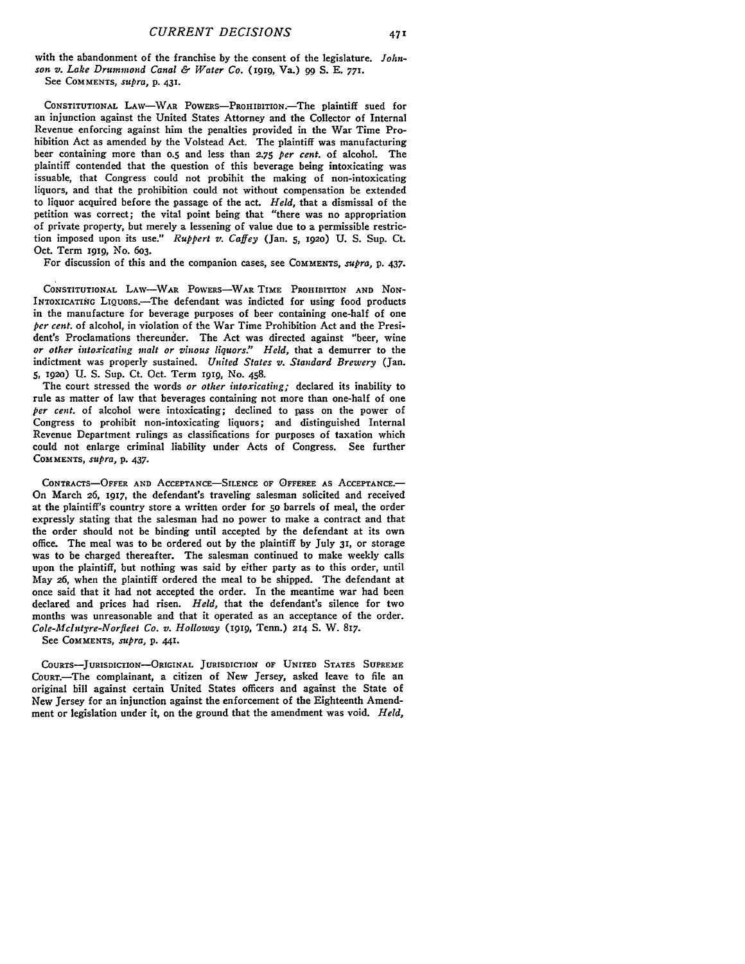with the abandonment of the franchise **by** the consent of the legislature. *Johnson v. Lake Drummond Canal & Water Co.* (i99, Va.) **99 S. E. 771.** See COMMENTS, *supra,* p. **431.**

**CONSTITUTIONAL** LAW-WAR POWERS-PROHIBITION.The plaintiff sued for an injunction against the United States Attorney and the Collector of Internal Revenue enforcing against him the penalties provided in the War Time Prohibition Act as amended **by** the Volstead Act. The plaintiff was manufacturing beer containing more than **o.5** and less than **2.75** *per cent.* of alcohol. The plaintiff contended that the question of this beverage being intoxicating was issuable, that Congress could not probihit the making of non-intoxicating liquors, and that the prohibition could not without compensation be extended to liquor acquired before the passage of the act. *Held,* that a dismissal of the petition was correct; the vital point being that "there was no appropriation of private property, but merely a lessening of value due to a permissible restriction imposed upon its use." *Ruppert v. Caffey* (Jan. 5, 1920) U. S. Sup. Ct. Oct. Term **i919,** No. 603.

For discussion of this and the companion cases, see **COMMENTS,** *supra,* p. 437.

CONSTITUTIONAL LAW-WAR POWERS-WARTIME PROHIBITION AND NON-INTOXICATING LIQUORS.-The defendant was indicted for using food products in the manufacture for beverage purposes of beer containing one-half of one *per cent.* of alcohol, in violation of the War Time Prohibition Act and the President's Proclamations thereunder. The Act was directed against "beer, wine *or other intoxicating malt or vinous liquors!' Held,* that a demurrer to the indictment was properly sustained. *United States v. Standard Brewery* (Jan. **5, 1920) U. S.** Sup. Ct. Oct. Term **I919,** No. 458.

The court stressed the words *or other intoxicating;* declared its inability to rule as matter of law that beverages containing not more than one-half of one *per cent.* of alcohol were intoxicating; declined to pass on the power of Congress to prohibit non-intoxicating liquors; and distinguished Internal Revenue Department rulings as classifications for purposes of taxation which could not enlarge criminal liability under Acts of Congress. See further **COMMENTS,** *supra,* p. 437.

CONTRACTS-OFFER **AND ACCEPTANCE-SILENCE OF** OFFEREE **AS ACCEPTANCE-**On March **26, 1917,** the defendant's traveling salesman solicited and received at the plaintiff's country store a written order for **5o** barrels of meal, the order expressly stating that the salesman had no power to make a contract and that the order should not be binding until accepted **by** the defendant at its own office. The meal was to be ordered out **by** the plaintiff **by July** *31,* or storage was to be charged thereafter. The salesman continued to make weekly calls upon the plaintiff, but nothing was said **by** either party as to this order, until May **26,** when the plaintiff ordered the meal to be shipped. The defendant at once said that it had not accepted the order. In the meantime war had been declared and prices had risen. *Held,* that the defendant's silence for two months was unreasonable and that it operated as an acceptance of the order. *Cole-.Mclntyre-Norfleet Co. v. Holloway* **(I919,** Tenn.) **214 S.** W. 817.

See **COMMENTS,** *supra,* **p. 441.**

COURTS-JURISDICTION-ORIGINAL **JURISDICTION** OF UNITED **STATES SUPREME** CouRT.-The complainant, a citizen of New Jersey, asked leave to file an original bill against certain United States officers and against the State **of** New Jersey for an injunction against the enforcement of the Eighteenth Amendment or legislation under it, on the ground that the amendment was void. *Held,*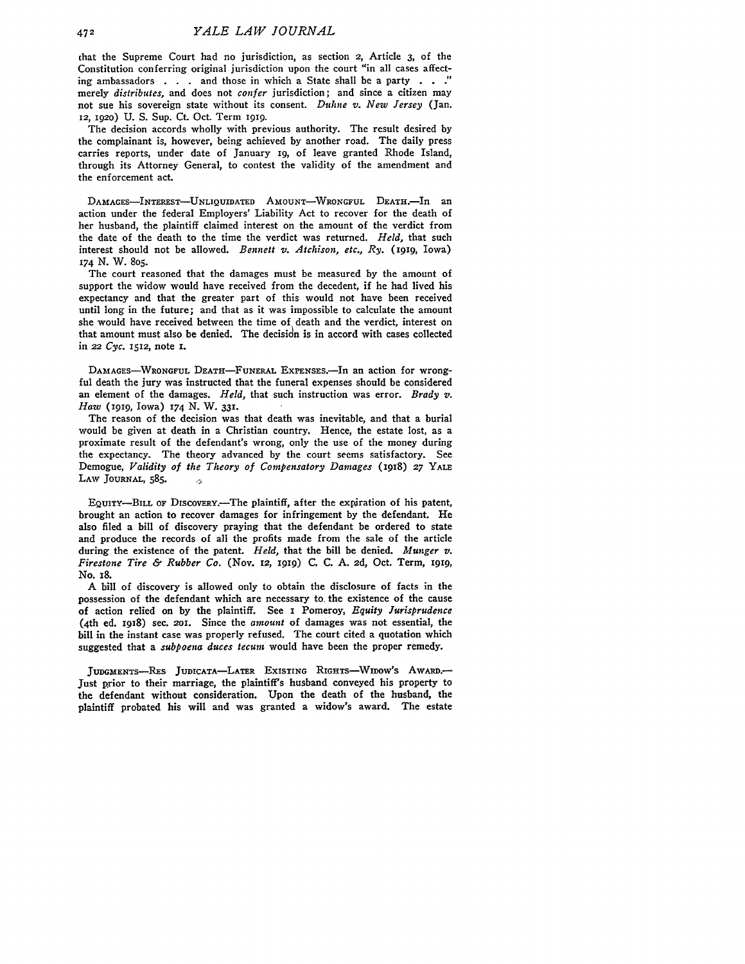chat the Supreme Court had no jurisdiction, as section 2, Article **3,** of the Constitution conferring original jurisdiction upon the court "in all cases affecting ambassadors  $\ldots$  and those in which a State shall be a party  $\ldots$ ." merely *distributes,* and does not *confer* jurisdiction; and since a citizen may not sue his sovereign state without its consent. *Duhne v. New Jersey* (Jan. 12, 192o) U. S. Sup. Ct. Oct. Term **1919.**

The decision accords wholly with previous authority. The result desired by the complainant is, however, being achieved by another road. The daily press carries reports, under date of January **19,** of leave granted Rhode Island, through its Attorney General, to contest the validity of the amendment and the enforcement act.

**DAMAGES-INTEREST-UNLIQUIDATED AMOUNT-WRONGFUL** DEATH.-In an action under the federal Employers' Liability Act to recover for the death of her husband, the plaintiff claimed interest on the amount of the verdict from the date of the death to the time the verdict was returned. *Held,* that such interest should not be allowed. *Bennett v. Atchison, etc., Ry.* (igig, Iowa) **174** N. W. 805.

The court reasoned that the damages must be measured by the amount of support the widow would have received from the decedent, if he had lived his expectancy and that the greater part of this would not have been received until long in the future; and that as it was impossible to calculate the amount she would have received between the time of death and the verdict, interest on that amount must also be denied. The decision is in accord with cases collected in 22 *Cyc.* 1512, note I.

DAMAGES-WRONGFUL DEATH-FUNERAL EXPENSES.-In an action for wrongful death the jury was instructed that the funeral expenses should be considered an element of the damages. *Held,* that such instruction was error. *Brady v. Haw* (1gig, Iowa) 174 N. W. **331.**

The reason of the decision was that death was inevitable, and that a burial would be given at death in a Christian country. Hence, the estate lost, as a proximate result of the defendant's wrong, only the use of the money during the expectancy. The theory advanced by the court seems satisfactory. See Demogue, *Validity of the Theory of Compensatory Damages (19x8)* **27** YALE **LAW JOURNAL,** 585.  $\sim$ 

EQUITY-BILL OF DiscovEY.--The plaintiff, after the expiration of his patent, brought an action to recover damages for infringement by the defendant. He also filed a bill of discovery praying that the defendant be ordered to state and produce the records of all the profits made from the sale of the article during the existence of the patent. *Held,* that the bill be denied. *Munger v. Firestone Tire & Rubber Co.* (Nov. 12, igig) **C. C. A.** 2d, Oct. Term, 1gig, No. 18.

A bill of discovery is allowed only to obtain the disclosure of facts in the possession of the defendant which are necessary to. the existence of the cause of action relied on by the plaintiff. See **i** Pomeroy, *Equity Jurisprudence* (4th ed. 1918) sec. 2oi. Since the *amount* of damages was not essential, the bill in the instant case was properly refused. The court cited a quotation which suggested that a *subpoena duces tecum* would have been the proper remedy.

JUDGMENTS-RES JUDICATA-LATER EXISTING RIGHTS-WIDOW'S AWARD.-Just prior to their marriage, the plaintiff's husband conveyed his property to the defendant without consideration. Upon the death of the husband, the plaintiff probated his will and was granted a widow's award. The estate

472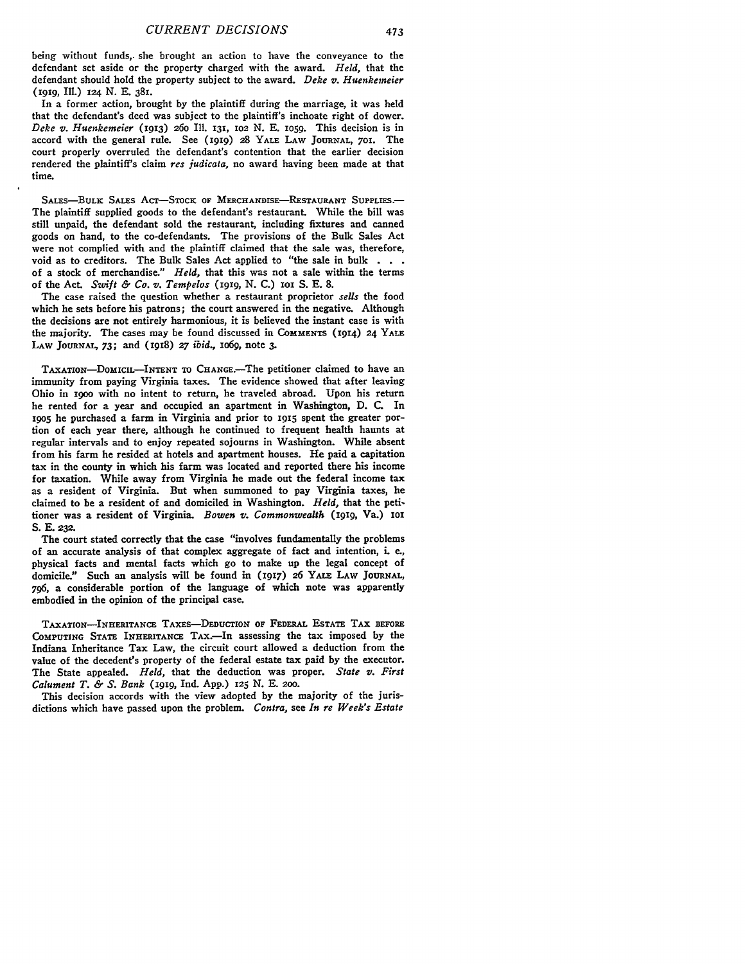being without funds, she brought an action to have the conveyance to the defendant set aside or the property charged with the award. *Held,* that the defendant should hold the property subject to the award. *Deke v. Huenkemeier* (gIg, **Il.)** *x24* **N.** E. 381.

In a former action, brought by the plaintiff during the marriage, it was held that the defendant's deed was subject to the plaintiff's inchoate right of dower. *Deke v. Huenkemeier* **(1913) 26o** Ill. 131, **102 N.** E. lo5g. This decision is in accord with the general rule. See (IgIg) 28 YALE LAW **JOURNAL,** 7O. The court properly overruled the defendant's contention that the earlier decision rendered the plaintiff's claim *res judicata,* no award having been made at that time.

SALES-BULK SALES AcT-STocK OF **MERCHANDISE-RESTAURANT SUPPLIES.-** The plaintiff supplied goods to the defendant's restaurant. While the bill was still unpaid, the defendant sold the restaurant, including fixtures and canned goods on hand, to the co-defendants. The provisions of the Bulk Sales Act were not complied with and the plaintiff claimed that the sale was, therefore, void as to creditors. The Bulk Sales Act applied to "the sale in bulk **. .** of a stock of merchandise." *Held,* that this was not a sale within the terms of the Act. *Swift & Co. v. Tempelos* (1919, N. C.) ioi S. E. 8.

The case raised the question whether a restaurant proprietor *sells* the food which he sets before his patrons; the court answered in the negative. Although the decisions are not entirely harmonious, it is believed the instant case is with the majority. The cases may be found discussed in COMMENTS (1914) **24** YALE LAW JOURNAL, 73; and (1918) **27** *ibid.,* io6g, note 3.

TAXATION-DOMICIL-INTENT TO CHANGE.-The petitioner claimed to have an immunity from paying Virginia taxes. The evidence showed that after leaving Ohio in igoo with no intent to return, he traveled abroad. Upon his return he rented for a year and occupied an apartment in Washington, D. C. In **19o5** he purchased a farm in Virginia and prior to **1915** spent the greater portion of each year there, although he continued to frequent health haunts at regular intervals and to enjoy repeated sojourns in Washington. While absent from his farm he resided at hotels and apartment houses. He paid a capitation tax in the county in which his farm was located and reported there his income for taxation. While away from Virginia he made out the federal income tax as a resident of Virginia. But when summoned to pay Virginia taxes, he claimed to be a resident of and domiciled in Washington. *Held,* that the petitioner was a resident of Virginia. *Bowen v. Commonwealth* **(1919,** Va.) **xor** S. **E. 232.**

The court stated correctly that the case "involves fundamentally the problems of an accurate analysis of that complex aggregate of fact and intention, i. e., physical facts and mental facts which go to make up the legal concept of domicile." Such an analysis will be found in **(917) 26** YALE LAW **JOURNAL,** 796, a considerable portion of the language of which note was apparently embodied in the opinion of the principal case.

TAXATIoN-INHERITANCE TAXES-DEDUCTION OF FEDERAL ESTATE TAX BEFORE COMPUTING STATE INHERITANCE TAx.-In assessing the tax imposed **by** the Indiana Inheritance Tax Law, the circuit court allowed a deduction from the value of the decedent's property of the federal estate tax paid by the executor. The State appealed. *Held,* that the deduction was proper. *State v. First Calument T. & S. Bank* **(i919,** Ind. **App.) 125** N. **E. 200.**

This decision accords with the view adopted **by** the majority of the jurisdictions which have passed upon the problem. *Contra,* **see** *In re Week's Estate*